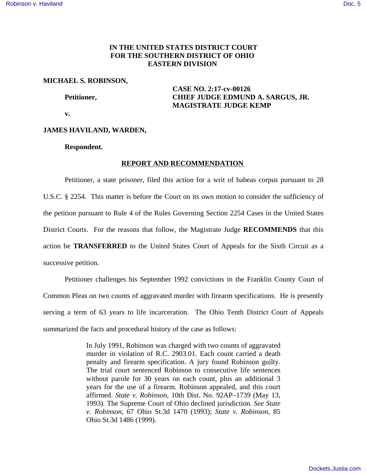# **IN THE UNITED STATES DISTRICT COURT FOR THE SOUTHERN DISTRICT OF OHIO EASTERN DIVISION**

## **MICHAEL S. ROBINSON,**

**CASE NO. 2:17-cv-00126 Petitioner, CHIEF JUDGE EDMUND A. SARGUS, JR. MAGISTRATE JUDGE KEMP**

**v.** 

# **JAMES HAVILAND, WARDEN,**

#### **Respondent.**

#### **REPORT AND RECOMMENDATION**

Petitioner, a state prisoner, filed this action for a writ of habeas corpus pursuant to 28 U.S.C. § 2254. This matter is before the Court on its own motion to consider the sufficiency of the petition pursuant to Rule 4 of the Rules Governing Section 2254 Cases in the United States District Courts. For the reasons that follow, the Magistrate Judge **RECOMMENDS** that this action be **TRANSFERRED** to the United States Court of Appeals for the Sixth Circuit as a successive petition.

Petitioner challenges his September 1992 convictions in the Franklin County Court of Common Pleas on two counts of aggravated murder with firearm specifications. He is presently serving a term of 63 years to life incarceration. The Ohio Tenth District Court of Appeals summarized the facts and procedural history of the case as follows:

> In July 1991, Robinson was charged with two counts of aggravated murder in violation of R.C. 2903.01. Each count carried a death penalty and firearm specification. A jury found Robinson guilty. The trial court sentenced Robinson to consecutive life sentences without parole for 30 years on each count, plus an additional 3 years for the use of a firearm. Robinson appealed, and this court affirmed. *State v. Robinson*, 10th Dist. No. 92AP–1739 (May 13, 1993). The Supreme Court of Ohio declined jurisdiction. *See State v. Robinson*, 67 Ohio St.3d 1470 (1993); *State v. Robinson*, 85 Ohio St.3d 1486 (1999).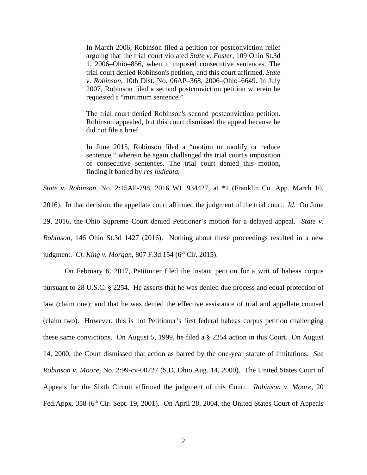In March 2006, Robinson filed a petition for postconviction relief arguing that the trial court violated *State v. Foster*, 109 Ohio St.3d 1, 2006–Ohio–856, when it imposed consecutive sentences. The trial court denied Robinson's petition, and this court affirmed. *State v. Robinson,* 10th Dist. No. 06AP–368, 2006–Ohio–6649. In July 2007, Robinson filed a second postconviction petition wherein he requested a "minimum sentence."

The trial court denied Robinson's second postconviction petition. Robinson appealed, but this court dismissed the appeal because he did not file a brief.

In June 2015, Robinson filed a "motion to modify or reduce sentence," wherein he again challenged the trial court's imposition of consecutive sentences. The trial court denied this motion, finding it barred by *res judicata.*

*State v. Robinson,* No. 2:15AP-798, 2016 WL 934427, at \*1 (Franklin Co. App. March 10, 2016). In that decision, the appellate court affirmed the judgment of the trial court. *Id*. On June 29, 2016, the Ohio Supreme Court denied Petitioner's motion for a delayed appeal. *State v. Robinson,* 146 Ohio St.3d 1427 (2016). Nothing about these proceedings resulted in a new judgment. *Cf. King v. Morgan*, 807 F.3d 154 (6<sup>th</sup> Cir. 2015).

On February 6, 2017, Petitioner filed the instant petition for a writ of habeas corpus pursuant to 28 U.S.C. § 2254. He asserts that he was denied due process and equal protection of law (claim one); and that he was denied the effective assistance of trial and appellate counsel (claim two). However, this is not Petitioner's first federal habeas corpus petition challenging these same convictions. On August 5, 1999, he filed a § 2254 action in this Court. On August 14, 2000, the Court dismissed that action as barred by the one-year statute of limitations. *See Robinson v. Moore*, No. 2:99-cv-00727 (S.D. Ohio Aug. 14, 2000). The United States Court of Appeals for the Sixth Circuit affirmed the judgment of this Court. *Robinson v. Moore*, 20 Fed.Appx. 358 (6<sup>th</sup> Cir. Sept. 19, 2001). On April 28, 2004, the United States Court of Appeals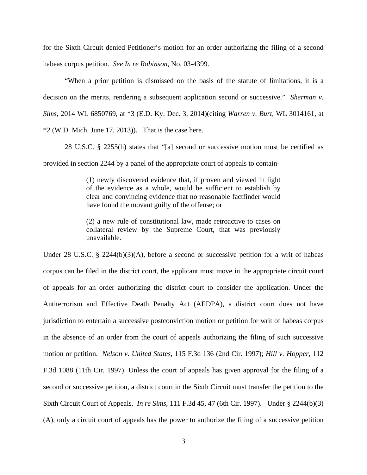for the Sixth Circuit denied Petitioner's motion for an order authorizing the filing of a second habeas corpus petition. *See In re Robinson*, No. 03-4399.

"When a prior petition is dismissed on the basis of the statute of limitations, it is a decision on the merits, rendering a subsequent application second or successive." *Sherman v. Sims*, 2014 WL 6850769, at \*3 (E.D. Ky. Dec. 3, 2014)(citing *Warren v. Burt*, WL 3014161, at  $*2$  (W.D. Mich. June 17, 2013)). That is the case here.

28 U.S.C. § 2255(h) states that "[a] second or successive motion must be certified as provided in section 2244 by a panel of the appropriate court of appeals to contain-

> (1) newly discovered evidence that, if proven and viewed in light of the evidence as a whole, would be sufficient to establish by clear and convincing evidence that no reasonable factfinder would have found the movant guilty of the offense; or

> (2) a new rule of constitutional law, made retroactive to cases on collateral review by the Supreme Court, that was previously unavailable.

Under 28 U.S.C. § 2244(b)(3)(A), before a second or successive petition for a writ of habeas corpus can be filed in the district court, the applicant must move in the appropriate circuit court of appeals for an order authorizing the district court to consider the application. Under the Antiterrorism and Effective Death Penalty Act (AEDPA), a district court does not have jurisdiction to entertain a successive postconviction motion or petition for writ of habeas corpus in the absence of an order from the court of appeals authorizing the filing of such successive motion or petition. *Nelson v. United States*, 115 F.3d 136 (2nd Cir. 1997); *Hill v. Hopper,* 112 F.3d 1088 (11th Cir. 1997). Unless the court of appeals has given approval for the filing of a second or successive petition, a district court in the Sixth Circuit must transfer the petition to the Sixth Circuit Court of Appeals. *In re Sims*, 111 F.3d 45, 47 (6th Cir. 1997). Under § 2244(b)(3) (A), only a circuit court of appeals has the power to authorize the filing of a successive petition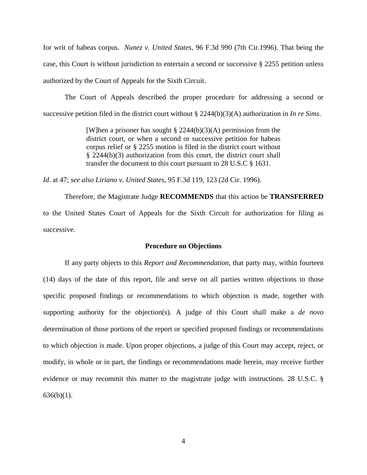for writ of habeas corpus. *Nunez v. United States*, 96 F.3d 990 (7th Cir.1996). That being the case, this Court is without jurisdiction to entertain a second or successive § 2255 petition unless authorized by the Court of Appeals for the Sixth Circuit.

The Court of Appeals described the proper procedure for addressing a second or successive petition filed in the district court without § 2244(b)(3)(A) authorization in *In re Sims*.

> [W]hen a prisoner has sought § 2244(b)(3)(A) permission from the district court, or when a second or successive petition for habeas corpus relief or § 2255 motion is filed in the district court without § 2244(b)(3) authorization from this court, the district court shall transfer the document to this court pursuant to 28 U.S.C § 1631.

*Id*. at 47; *see also Liriano v. United States*, 95 F.3d 119, 123 (2d Cir. 1996).

Therefore, the Magistrate Judge **RECOMMENDS** that this action be **TRANSFERRED** to the United States Court of Appeals for the Sixth Circuit for authorization for filing as successive.

## **Procedure on Objections**

If any party objects to this *Report and Recommendation*, that party may, within fourteen (14) days of the date of this report, file and serve on all parties written objections to those specific proposed findings or recommendations to which objection is made, together with supporting authority for the objection(s). A judge of this Court shall make a *de novo* determination of those portions of the report or specified proposed findings or recommendations to which objection is made. Upon proper objections, a judge of this Court may accept, reject, or modify, in whole or in part, the findings or recommendations made herein, may receive further evidence or may recommit this matter to the magistrate judge with instructions. 28 U.S.C. §  $636(b)(1)$ .